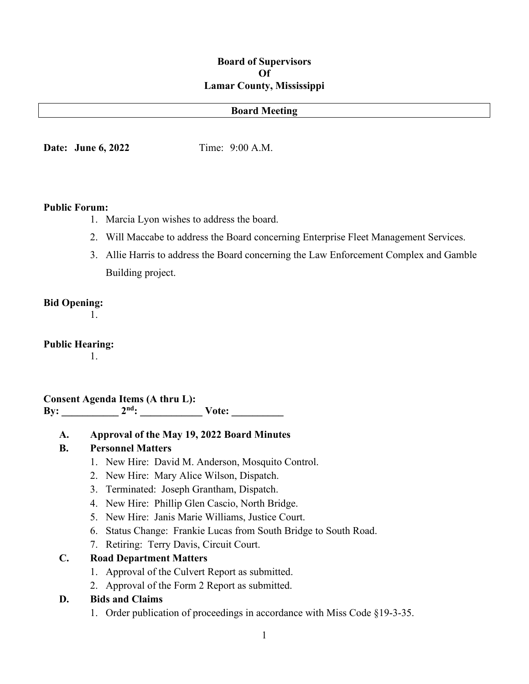#### **Board of Supervisors Of Lamar County, Mississippi**

#### **Board Meeting**

**Date:** June 6, 2022 Time: 9:00 A.M.

#### **Public Forum:**

- 1. Marcia Lyon wishes to address the board.
- 2. Will Maccabe to address the Board concerning Enterprise Fleet Management Services.
- 3. Allie Harris to address the Board concerning the Law Enforcement Complex and Gamble Building project.

#### **Bid Opening:**

1.

#### **Public Hearing:**

1.

**Consent Agenda Items (A thru L): By: \_\_\_\_\_\_\_\_\_\_\_ 2nd: \_\_\_\_\_\_\_\_\_\_\_\_ Vote: \_\_\_\_\_\_\_\_\_\_**

**A. Approval of the May 19, 2022 Board Minutes**

#### **B. Personnel Matters**

- 1. New Hire: David M. Anderson, Mosquito Control.
- 2. New Hire: Mary Alice Wilson, Dispatch.
- 3. Terminated: Joseph Grantham, Dispatch.
- 4. New Hire: Phillip Glen Cascio, North Bridge.
- 5. New Hire: Janis Marie Williams, Justice Court.
- 6. Status Change: Frankie Lucas from South Bridge to South Road.
- 7. Retiring: Terry Davis, Circuit Court.

### **C. Road Department Matters**

- 1. Approval of the Culvert Report as submitted.
- 2. Approval of the Form 2 Report as submitted.

### **D. Bids and Claims**

1. Order publication of proceedings in accordance with Miss Code §19-3-35.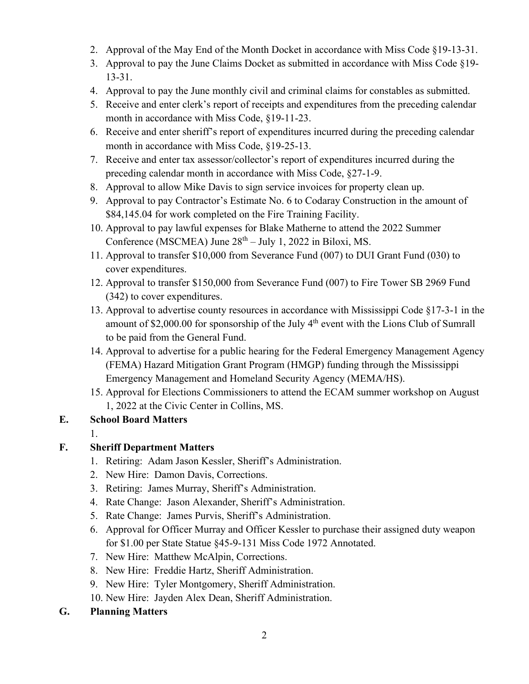- 2. Approval of the May End of the Month Docket in accordance with Miss Code §19-13-31.
- 3. Approval to pay the June Claims Docket as submitted in accordance with Miss Code §19- 13-31.
- 4. Approval to pay the June monthly civil and criminal claims for constables as submitted.
- 5. Receive and enter clerk's report of receipts and expenditures from the preceding calendar month in accordance with Miss Code, §19-11-23.
- 6. Receive and enter sheriff's report of expenditures incurred during the preceding calendar month in accordance with Miss Code, §19-25-13.
- 7. Receive and enter tax assessor/collector's report of expenditures incurred during the preceding calendar month in accordance with Miss Code, §27-1-9.
- 8. Approval to allow Mike Davis to sign service invoices for property clean up.
- 9. Approval to pay Contractor's Estimate No. 6 to Codaray Construction in the amount of \$84,145.04 for work completed on the Fire Training Facility.
- 10. Approval to pay lawful expenses for Blake Matherne to attend the 2022 Summer Conference (MSCMEA) June  $28<sup>th</sup> - July 1, 2022$  in Biloxi, MS.
- 11. Approval to transfer \$10,000 from Severance Fund (007) to DUI Grant Fund (030) to cover expenditures.
- 12. Approval to transfer \$150,000 from Severance Fund (007) to Fire Tower SB 2969 Fund (342) to cover expenditures.
- 13. Approval to advertise county resources in accordance with Mississippi Code §17-3-1 in the amount of \$2,000.00 for sponsorship of the July  $4<sup>th</sup>$  event with the Lions Club of Sumrall to be paid from the General Fund.
- 14. Approval to advertise for a public hearing for the Federal Emergency Management Agency (FEMA) Hazard Mitigation Grant Program (HMGP) funding through the Mississippi Emergency Management and Homeland Security Agency (MEMA/HS).
- 15. Approval for Elections Commissioners to attend the ECAM summer workshop on August 1, 2022 at the Civic Center in Collins, MS.

### **E. School Board Matters**

1.

# **F. Sheriff Department Matters**

- 1. Retiring: Adam Jason Kessler, Sheriff's Administration.
- 2. New Hire: Damon Davis, Corrections.
- 3. Retiring: James Murray, Sheriff's Administration.
- 4. Rate Change: Jason Alexander, Sheriff's Administration.
- 5. Rate Change: James Purvis, Sheriff's Administration.
- 6. Approval for Officer Murray and Officer Kessler to purchase their assigned duty weapon for \$1.00 per State Statue §45-9-131 Miss Code 1972 Annotated.
- 7. New Hire: Matthew McAlpin, Corrections.
- 8. New Hire: Freddie Hartz, Sheriff Administration.
- 9. New Hire: Tyler Montgomery, Sheriff Administration.
- 10. New Hire: Jayden Alex Dean, Sheriff Administration.
- **G. Planning Matters**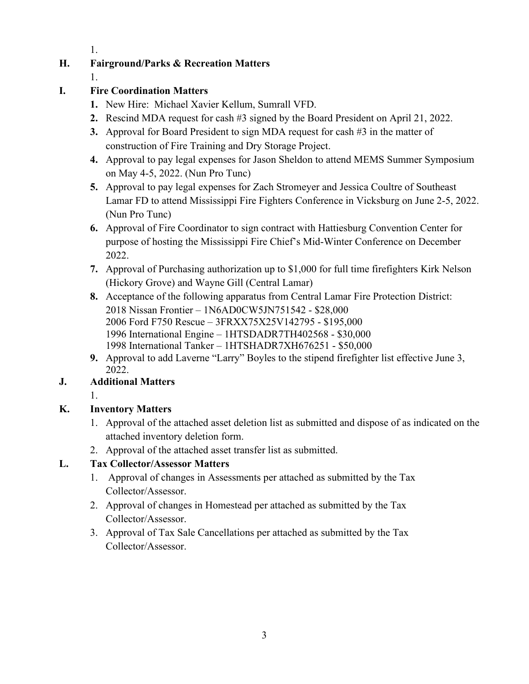1.

# **H. Fairground/Parks & Recreation Matters**

1.

# **I. Fire Coordination Matters**

- **1.** New Hire: Michael Xavier Kellum, Sumrall VFD.
- **2.** Rescind MDA request for cash #3 signed by the Board President on April 21, 2022.
- **3.** Approval for Board President to sign MDA request for cash #3 in the matter of construction of Fire Training and Dry Storage Project.
- **4.** Approval to pay legal expenses for Jason Sheldon to attend MEMS Summer Symposium on May 4-5, 2022. (Nun Pro Tunc)
- **5.** Approval to pay legal expenses for Zach Stromeyer and Jessica Coultre of Southeast Lamar FD to attend Mississippi Fire Fighters Conference in Vicksburg on June 2-5, 2022. (Nun Pro Tunc)
- **6.** Approval of Fire Coordinator to sign contract with Hattiesburg Convention Center for purpose of hosting the Mississippi Fire Chief's Mid-Winter Conference on December 2022.
- **7.** Approval of Purchasing authorization up to \$1,000 for full time firefighters Kirk Nelson (Hickory Grove) and Wayne Gill (Central Lamar)
- **8.** Acceptance of the following apparatus from Central Lamar Fire Protection District: 2018 Nissan Frontier – 1N6AD0CW5JN751542 - \$28,000 2006 Ford F750 Rescue – 3FRXX75X25V142795 - \$195,000 1996 International Engine – 1HTSDADR7TH402568 - \$30,000 1998 International Tanker – 1HTSHADR7XH676251 - \$50,000
- **9.** Approval to add Laverne "Larry" Boyles to the stipend firefighter list effective June 3, 2022.

# **J. Additional Matters**

1.

# **K. Inventory Matters**

- 1. Approval of the attached asset deletion list as submitted and dispose of as indicated on the attached inventory deletion form.
- 2. Approval of the attached asset transfer list as submitted.

# **L. Tax Collector/Assessor Matters**

- 1. Approval of changes in Assessments per attached as submitted by the Tax Collector/Assessor.
- 2. Approval of changes in Homestead per attached as submitted by the Tax Collector/Assessor.
- 3. Approval of Tax Sale Cancellations per attached as submitted by the Tax Collector/Assessor.